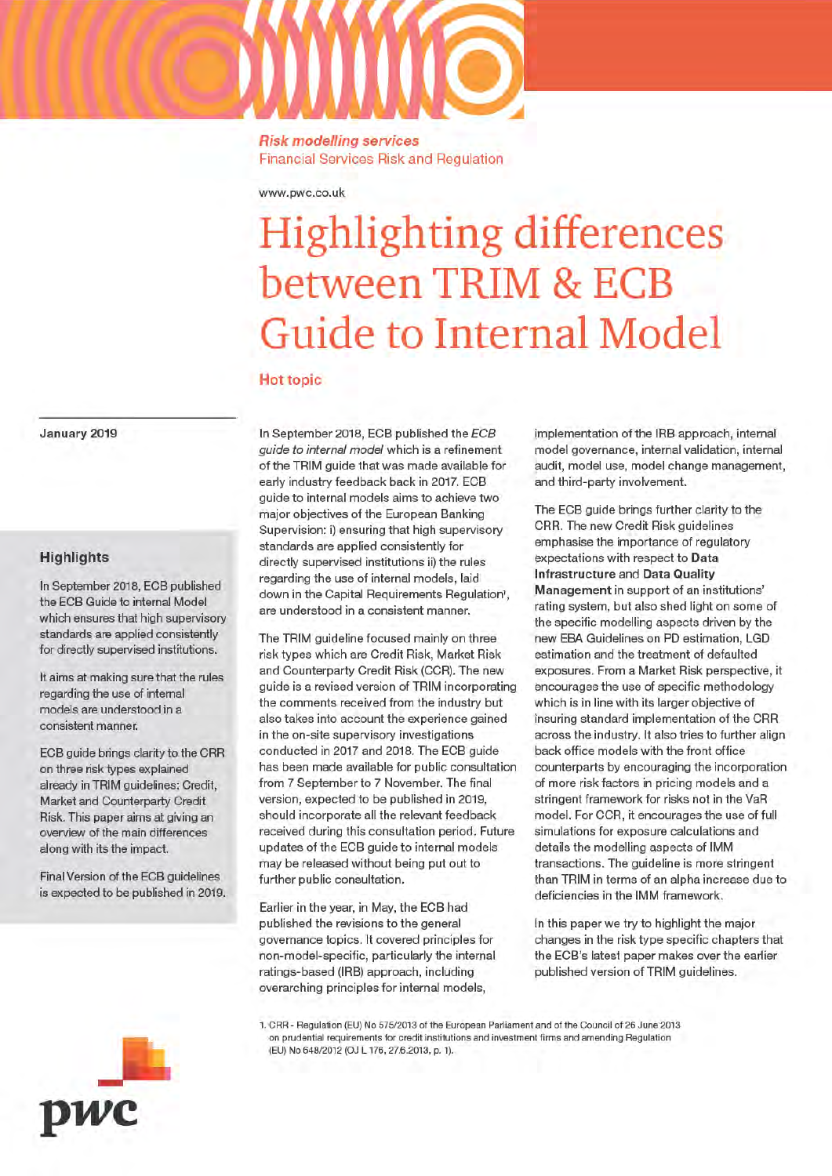#### www.pwc.co.uk

# **Highlighting differences** between TRIM & ECB **Guide to Internal Model**

#### **Hot topic**

January 2019

# **Highlights**

In September 2018, ECB published the ECB Guide to internal Model which ensures that high supervisory standards are applied consistently for directly supervised institutions.

It aims at making sure that the rules regarding the use of internal models are understood in a consistent manner.

ECB guide brings clarity to the CRR on three risk types explained already in TRIM guidelines: Credit, Market and Counterparty Credit Risk. This paper aims at giving an overview of the main differences along with its the impact.

Final Version of the ECB guidelines is expected to be published in 2019. In September 2018, ECB published the ECB guide to internal model which is a refinement of the TRIM guide that was made available for early industry feedback back in 2017. ECB guide to internal models aims to achieve two major objectives of the European Banking Supervision: i) ensuring that high supervisory standards are applied consistently for directly supervised institutions ii) the rules regarding the use of internal models, laid down in the Capital Requirements Regulation', are understood in a consistent manner.

The TRIM quideline focused mainly on three risk types which are Credit Risk, Market Risk and Counterparty Credit Risk (CCR). The new quide is a revised version of TRIM incorporating the comments received from the industry but also takes into account the experience gained in the on-site supervisory investigations conducted in 2017 and 2018. The ECB guide has been made available for public consultation from 7 September to 7 November. The final version, expected to be published in 2019, should incorporate all the relevant feedback received during this consultation period. Future updates of the ECB guide to internal models may be released without being put out to further public consultation.

Earlier in the year, in May, the ECB had published the revisions to the general governance topics. It covered principles for non-model-specific, particularly the internal ratings-based (IRB) approach, including overarching principles for internal models,

implementation of the IRB approach, internal model governance, internal validation, internal audit, model use, model change management, and third-party involvement.

The ECB guide brings further clarity to the CRR. The new Credit Risk guidelines emphasise the importance of regulatory expectations with respect to Data **Infrastructure and Data Quality** Management in support of an institutions' rating system, but also shed light on some of the specific modelling aspects driven by the new EBA Guidelines on PD estimation, LGD estimation and the treatment of defaulted exposures. From a Market Risk perspective, it encourages the use of specific methodology which is in line with its larger objective of insuring standard implementation of the CRR across the industry. It also tries to further align back office models with the front office counterparts by encouraging the incorporation of more risk factors in pricing models and a stringent framework for risks not in the VaR model. For CCR, it encourages the use of full simulations for exposure calculations and details the modelling aspects of IMM transactions. The guideline is more stringent than TRIM in terms of an alpha increase due to deficiencies in the IMM framework.

In this paper we try to highlight the major changes in the risk type specific chapters that the ECB's latest paper makes over the earlier published version of TRIM guidelines.

1. CRR - Regulation (EU) No 575/2013 of the European Parliament and of the Council of 26 June 2013 on prudential requirements for credit institutions and investment firms and amending Regulation (EU) No 648/2012 (OJ L 176, 27.6.2013, p. 1).

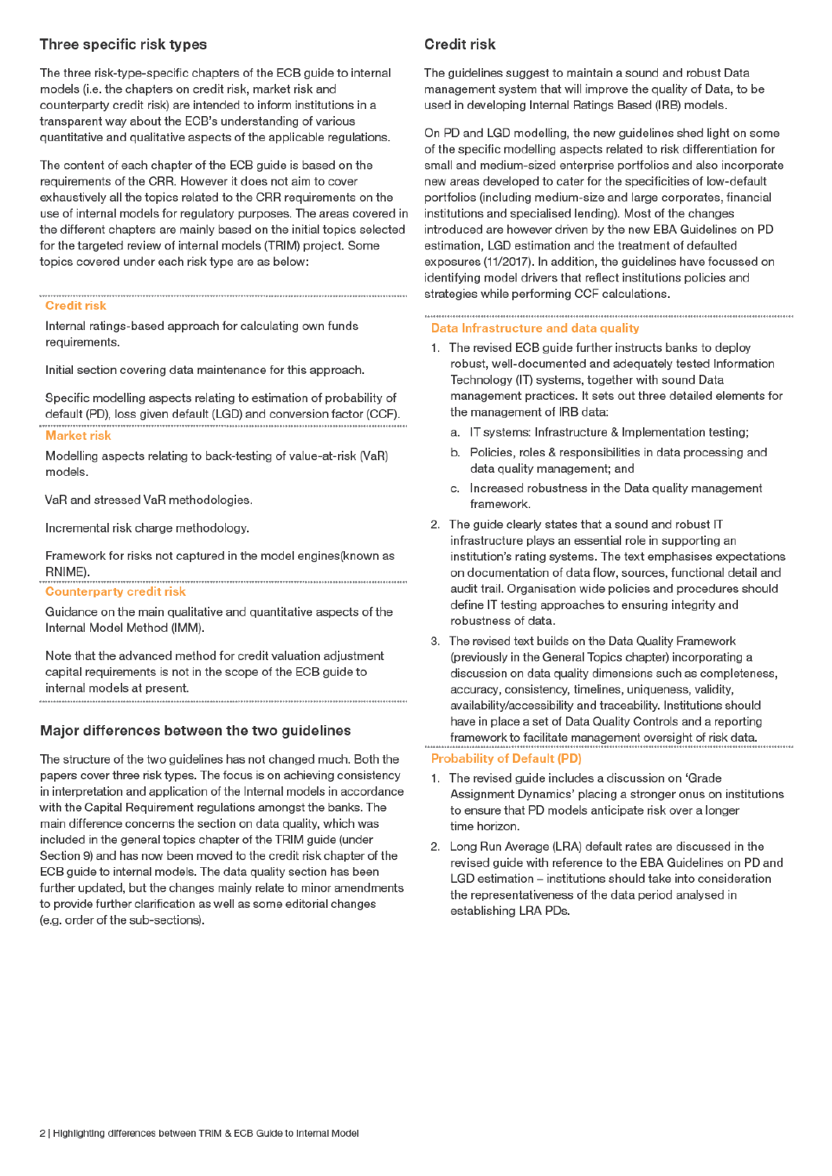# Three specific risk types

The three risk-type-specific chapters of the ECB guide to internal models (i.e. the chapters on credit risk, market risk and counterparty credit risk) are intended to inform institutions in a transparent way about the ECB's understanding of various quantitative and qualitative aspects of the applicable regulations.

The content of each chapter of the ECB quide is based on the requirements of the CRR. However it does not aim to cover exhaustively all the topics related to the CRR requirements on the use of internal models for regulatory purposes. The areas covered in the different chapters are mainly based on the initial topics selected for the targeted review of internal models (TRIM) project. Some topics covered under each risk type are as below:

## **Credit risk**

Internal ratings-based approach for calculating own funds requirements.

Initial section covering data maintenance for this approach.

Specific modelling aspects relating to estimation of probability of default (PD), loss given default (LGD) and conversion factor (CCF).

#### **Market risk**

Modelling aspects relating to back-testing of value-at-risk (VaR) models.

VaR and stressed VaR methodologies.

Incremental risk charge methodology.

Framework for risks not captured in the model engines (known as RNIME).

**Counterparty credit risk** 

Guidance on the main qualitative and quantitative aspects of the Internal Model Method (IMM).

Note that the advanced method for credit valuation adjustment capital requirements is not in the scope of the ECB quide to internal models at present. 

# Major differences between the two guidelines

The structure of the two guidelines has not changed much. Both the papers cover three risk types. The focus is on achieving consistency in interpretation and application of the Internal models in accordance with the Capital Requirement regulations amongst the banks. The main difference concerns the section on data quality, which was included in the general topics chapter of the TRIM guide (under Section 9) and has now been moved to the credit risk chapter of the ECB guide to internal models. The data quality section has been further updated, but the changes mainly relate to minor amendments to provide further clarification as well as some editorial changes (e.g. order of the sub-sections).

# Credit risk

The quidelines suggest to maintain a sound and robust Data management system that will improve the quality of Data, to be used in developing Internal Ratings Based (IRB) models.

On PD and LGD modelling, the new guidelines shed light on some of the specific modelling aspects related to risk differentiation for small and medium-sized enterprise portfolios and also incorporate new areas developed to cater for the specificities of low-default portfolios (including medium-size and large corporates, financial institutions and specialised lending). Most of the changes introduced are however driven by the new EBA Guidelines on PD estimation, LGD estimation and the treatment of defaulted exposures (11/2017). In addition, the guidelines have focussed on identifying model drivers that reflect institutions policies and strategies while performing CCF calculations.

# Data Infrastructure and data quality

- 1. The revised ECB guide further instructs banks to deploy robust, well-documented and adequately tested Information Technology (IT) systems, together with sound Data management practices. It sets out three detailed elements for the management of IRB data:
	- a. IT systems: Infrastructure & Implementation testing;
	- b. Policies, roles & responsibilities in data processing and data quality management; and
	- c. Increased robustness in the Data quality management framework.
- 2. The guide clearly states that a sound and robust IT infrastructure plays an essential role in supporting an institution's rating systems. The text emphasises expectations on documentation of data flow, sources, functional detail and audit trail. Organisation wide policies and procedures should define IT testing approaches to ensuring integrity and robustness of data.
- The revised text builds on the Data Quality Framework  $\mathcal{R}$ (previously in the General Topics chapter) incorporating a discussion on data quality dimensions such as completeness, accuracy, consistency, timelines, uniqueness, validity, availability/accessibility and traceability. Institutions should have in place a set of Data Quality Controls and a reporting framework to facilitate management oversight of risk data.

## **Probability of Default (PD)**

- 1. The revised guide includes a discussion on 'Grade Assignment Dynamics' placing a stronger onus on institutions to ensure that PD models anticipate risk over a longer time horizon.
- 2. Long Run Average (LRA) default rates are discussed in the revised guide with reference to the EBA Guidelines on PD and LGD estimation - institutions should take into consideration the representativeness of the data period analysed in establishing LRA PDs.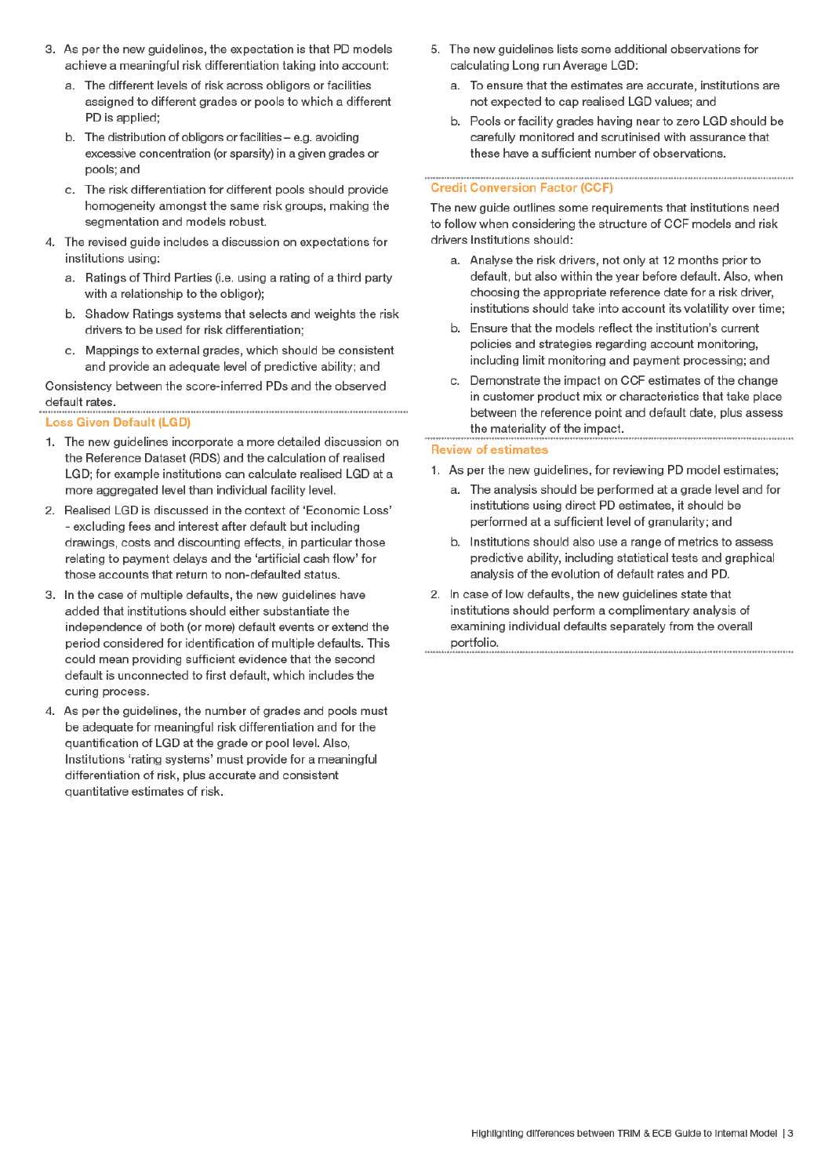- 3. As per the new guidelines, the expectation is that PD models achieve a meaningful risk differentiation taking into account:
	- a. The different levels of risk across obligors or facilities assigned to different grades or pools to which a different PD is applied:
	- b. The distribution of obligors or facilities e.g. avoiding excessive concentration (or sparsity) in a given grades or pools: and
	- c. The risk differentiation for different pools should provide homogeneity amongst the same risk groups, making the segmentation and models robust.
- 4. The revised guide includes a discussion on expectations for institutions using:
	- a. Ratings of Third Parties (i.e. using a rating of a third party with a relationship to the obligor);
	- $b<sub>1</sub>$ Shadow Ratings systems that selects and weights the risk drivers to be used for risk differentiation;
	- c. Mappings to external grades, which should be consistent and provide an adequate level of predictive ability; and

Consistency between the score-inferred PDs and the observed default rates. 

#### **Loss Given Default (LGD)**

- 1. The new guidelines incorporate a more detailed discussion on the Reference Dataset (RDS) and the calculation of realised LGD; for example institutions can calculate realised LGD at a more aggregated level than individual facility level.
- 2. Realised LGD is discussed in the context of 'Economic Loss' - excluding fees and interest after default but including drawings, costs and discounting effects, in particular those relating to payment delays and the 'artificial cash flow' for those accounts that return to non-defaulted status.
- 3. In the case of multiple defaults, the new guidelines have added that institutions should either substantiate the independence of both (or more) default events or extend the period considered for identification of multiple defaults. This could mean providing sufficient evidence that the second default is unconnected to first default, which includes the curing process.
- 4. As per the guidelines, the number of grades and pools must be adequate for meaningful risk differentiation and for the quantification of LGD at the grade or pool level. Also, Institutions 'rating systems' must provide for a meaningful differentiation of risk, plus accurate and consistent quantitative estimates of risk.
- 5. The new guidelines lists some additional observations for calculating Long run Average LGD:
	- a. To ensure that the estimates are accurate, institutions are not expected to cap realised LGD values; and
	- b. Pools or facility grades having near to zero LGD should be carefully monitored and scrutinised with assurance that these have a sufficient number of observations.

## **Credit Conversion Factor (CCF)**

The new guide outlines some requirements that institutions need to follow when considering the structure of CCF models and risk drivers Institutions should:

- a. Analyse the risk drivers, not only at 12 months prior to default, but also within the year before default. Also, when choosing the appropriate reference date for a risk driver, institutions should take into account its volatility over time;
- b. Ensure that the models reflect the institution's current policies and strategies regarding account monitoring, including limit monitoring and payment processing; and
- c. Demonstrate the impact on CCF estimates of the change in customer product mix or characteristics that take place between the reference point and default date, plus assess the materiality of the impact.

#### **Review of estimates**

- 1. As per the new guidelines, for reviewing PD model estimates;
	- a. The analysis should be performed at a grade level and for institutions using direct PD estimates, it should be performed at a sufficient level of granularity; and
	- b. Institutions should also use a range of metrics to assess predictive ability, including statistical tests and graphical analysis of the evolution of default rates and PD.
- 2. In case of low defaults, the new guidelines state that institutions should perform a complimentary analysis of examining individual defaults separately from the overall portfolio.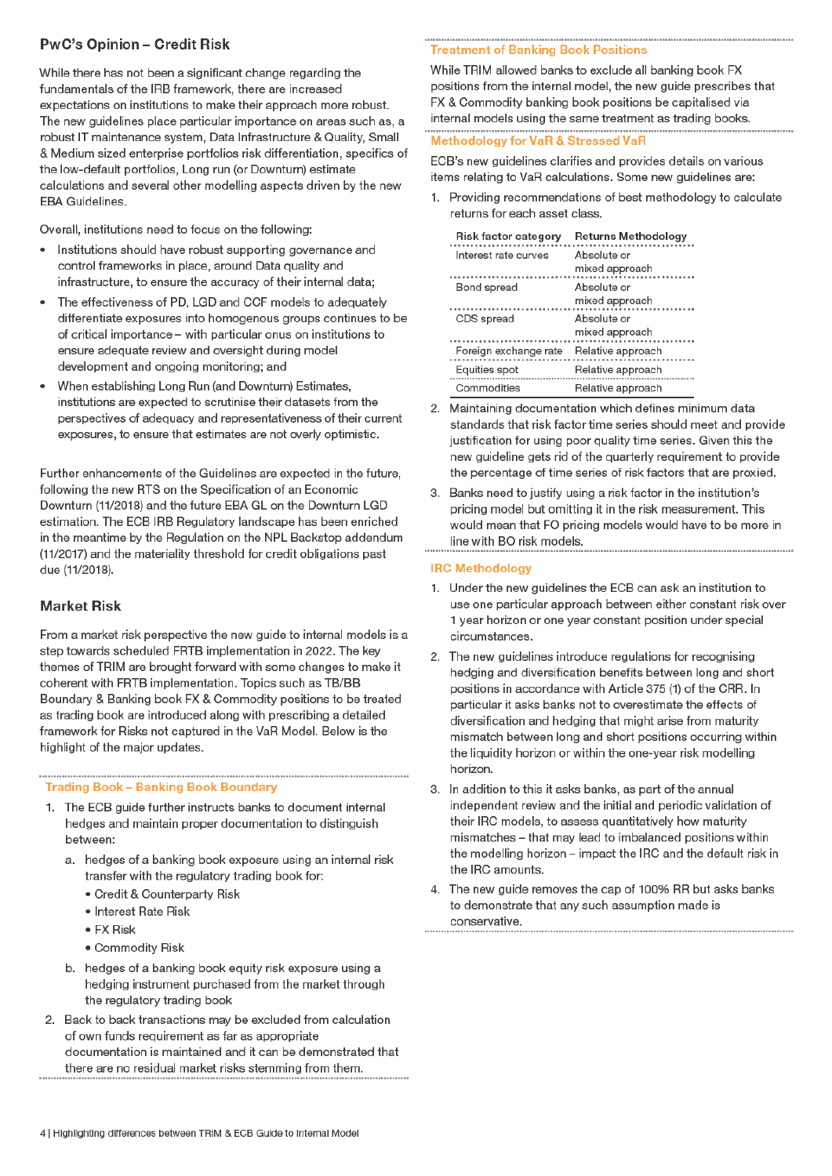# **PwC's Opinion - Credit Risk**

While there has not been a significant change regarding the fundamentals of the IRB framework, there are increased expectations on institutions to make their approach more robust. The new guidelines place particular importance on areas such as, a robust IT maintenance system, Data Infrastructure & Quality, Small & Medium sized enterprise portfolios risk differentiation, specifics of the low-default portfolios. Long run (or Downturn) estimate calculations and several other modelling aspects driven by the new **EBA Guidelines.** 

Overall, institutions need to focus on the following:

- Institutions should have robust supporting governance and control frameworks in place, around Data quality and infrastructure, to ensure the accuracy of their internal data;
- The effectiveness of PD, LGD and CCF models to adequately differentiate exposures into homogenous groups continues to be of critical importance – with particular onus on institutions to ensure adequate review and oversight during model development and ongoing monitoring; and
- When establishing Long Run (and Downturn) Estimates,  $\bullet$ institutions are expected to scrutinise their datasets from the perspectives of adequacy and representativeness of their current exposures, to ensure that estimates are not overly optimistic.

Further enhancements of the Guidelines are expected in the future, following the new RTS on the Specification of an Economic Downturn (11/2018) and the future EBA GL on the Downturn LGD estimation. The ECB IRB Regulatory landscape has been enriched in the meantime by the Regulation on the NPL Backstop addendum (11/2017) and the materiality threshold for credit obligations past due (11/2018).

# **Market Risk**

From a market risk perspective the new guide to internal models is a step towards scheduled FRTB implementation in 2022. The key themes of TRIM are brought forward with some changes to make it coherent with FRTB implementation. Topics such as TB/BB Boundary & Banking book FX & Commodity positions to be treated as trading book are introduced along with prescribing a detailed framework for Risks not captured in the VaR Model. Below is the highlight of the major updates.

## **Trading Book - Banking Book Boundary**

- 1. The ECB guide further instructs banks to document internal hedges and maintain proper documentation to distinguish between:
	- a. hedges of a banking book exposure using an internal risk transfer with the regulatory trading book for:
		- Credit & Counterparty Risk
		- · Interest Rate Risk
		- $\bullet$  FX Risk
		- Commodity Risk
	- b. hedges of a banking book equity risk exposure using a hedging instrument purchased from the market through the regulatory trading book
- 2. Back to back transactions may be excluded from calculation of own funds requirement as far as appropriate documentation is maintained and it can be demonstrated that there are no residual market risks stemming from them.

## **Treatment of Banking Book Positions**

While TRIM allowed banks to exclude all banking book FX positions from the internal model, the new guide prescribes that FX & Commodity banking book positions be capitalised via internal models using the same treatment as trading books.

## **Methodology for VaR & Stressed VaR**

ECB's new guidelines clarifies and provides details on various items relating to VaR calculations. Some new guidelines are:

1. Providing recommendations of best methodology to calculate returns for each asset class.

| Risk factor category  | Returns Methodology           |
|-----------------------|-------------------------------|
| Interest rate curves  | Absolute or<br>mixed approach |
| Bond spread           | Absolute or<br>mixed approach |
| CDS spread            | Absolute or<br>mixed approach |
| Foreign exchange rate | Relative approach             |
| Equities spot         | Relative approach             |
| Commodities           | Relative approach             |

- 2. Maintaining documentation which defines minimum data standards that risk factor time series should meet and provide justification for using poor quality time series. Given this the new guideline gets rid of the quarterly requirement to provide the percentage of time series of risk factors that are proxied.
- 3. Banks need to justify using a risk factor in the institution's pricing model but omitting it in the risk measurement. This would mean that FO pricing models would have to be more in line with BO risk models.

## **IRC Methodology**

- 1. Under the new guidelines the ECB can ask an institution to use one particular approach between either constant risk over 1 year horizon or one year constant position under special circumstances.
- 2. The new guidelines introduce regulations for recognising hedging and diversification benefits between long and short positions in accordance with Article 375 (1) of the CRR. In particular it asks banks not to overestimate the effects of diversification and hedging that might arise from maturity mismatch between long and short positions occurring within the liquidity horizon or within the one-year risk modelling horizon.
- 3. In addition to this it asks banks, as part of the annual independent review and the initial and periodic validation of their IRC models, to assess quantitatively how maturity mismatches - that may lead to imbalanced positions within the modelling horizon – impact the IRC and the default risk in the IRC amounts.
- 4. The new guide removes the cap of 100% RR but asks banks to demonstrate that any such assumption made is conservative.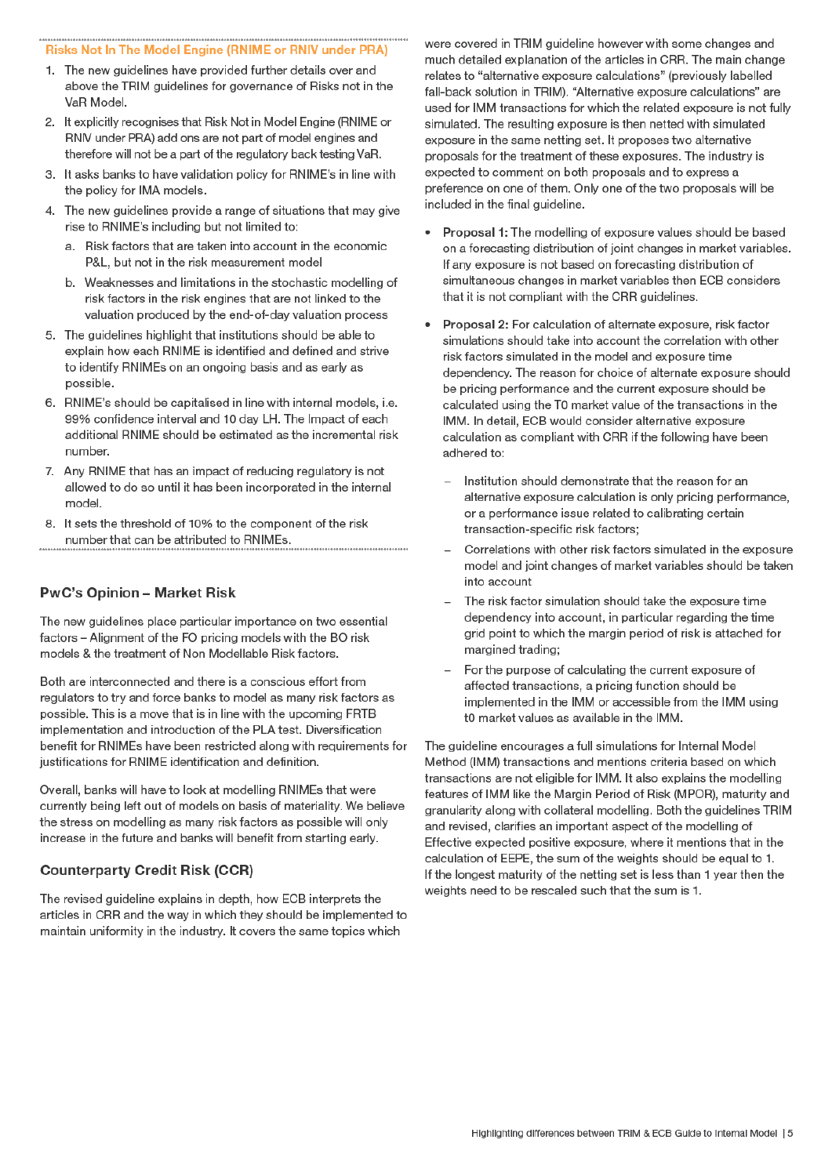### Risks Not In The Model Engine (RNIME or RNIV under PRA)

- 1. The new guidelines have provided further details over and above the TRIM guidelines for governance of Risks not in the VaR Model.
- 2. It explicitly recognises that Risk Not in Model Engine (RNIME or RNIV under PRA) add ons are not part of model engines and therefore will not be a part of the regulatory back testing VaR.
- 3. It asks banks to have validation policy for RNIME's in line with the policy for IMA models.
- 4. The new guidelines provide a range of situations that may give rise to RNIME's including but not limited to:
	- a. Risk factors that are taken into account in the economic P&L, but not in the risk measurement model
	- b. Weaknesses and limitations in the stochastic modelling of risk factors in the risk engines that are not linked to the valuation produced by the end-of-day valuation process
- 5. The quidelines highlight that institutions should be able to explain how each RNIME is identified and defined and strive to identify RNIMEs on an ongoing basis and as early as possible.
- 6. RNIME's should be capitalised in line with internal models, i.e. 99% confidence interval and 10 day LH. The Impact of each additional RNIME should be estimated as the incremental risk number.
- 7. Any RNIME that has an impact of reducing regulatory is not allowed to do so until it has been incorporated in the internal model
- 8. It sets the threshold of 10% to the component of the risk number that can be attributed to RNIMEs.

# **PwC's Opinion - Market Risk**

The new guidelines place particular importance on two essential factors - Alignment of the FO pricing models with the BO risk models & the treatment of Non Modellable Risk factors.

Both are interconnected and there is a conscious effort from regulators to try and force banks to model as many risk factors as possible. This is a move that is in line with the upcoming FRTB implementation and introduction of the PLA test. Diversification benefit for RNIMEs have been restricted along with requirements for justifications for RNIME identification and definition.

Overall, banks will have to look at modelling RNIMEs that were currently being left out of models on basis of materiality. We believe the stress on modelling as many risk factors as possible will only increase in the future and banks will benefit from starting early.

# **Counterparty Credit Risk (CCR)**

The revised guideline explains in depth, how ECB interprets the articles in CRR and the way in which they should be implemented to maintain uniformity in the industry. It covers the same topics which

were covered in TRIM quideline however with some changes and much detailed explanation of the articles in CRR. The main change relates to "alternative exposure calculations" (previously labelled fall-back solution in TRIM). "Alternative exposure calculations" are used for IMM transactions for which the related exposure is not fully simulated. The resulting exposure is then netted with simulated exposure in the same netting set. It proposes two alternative proposals for the treatment of these exposures. The industry is expected to comment on both proposals and to express a preference on one of them. Only one of the two proposals will be included in the final guideline.

- Proposal 1: The modelling of exposure values should be based  $\bullet$ on a forecasting distribution of joint changes in market variables. If any exposure is not based on forecasting distribution of simultaneous changes in market variables then ECB considers that it is not compliant with the CRR guidelines.
- Proposal 2: For calculation of alternate exposure, risk factor  $\bullet$ simulations should take into account the correlation with other risk factors simulated in the model and exposure time dependency. The reason for choice of alternate exposure should be pricing performance and the current exposure should be calculated using the T0 market value of the transactions in the IMM. In detail, ECB would consider alternative exposure calculation as compliant with CRR if the following have been adhered to:
	- Institution should demonstrate that the reason for an alternative exposure calculation is only pricing performance, or a performance issue related to calibrating certain transaction-specific risk factors:
	- Correlations with other risk factors simulated in the exposure model and joint changes of market variables should be taken into account
	- The risk factor simulation should take the exposure time dependency into account, in particular regarding the time grid point to which the margin period of risk is attached for margined trading;
	- For the purpose of calculating the current exposure of affected transactions, a pricing function should be implemented in the IMM or accessible from the IMM using t0 market values as available in the IMM.

The quideline encourages a full simulations for Internal Model Method (IMM) transactions and mentions criteria based on which transactions are not eligible for IMM. It also explains the modelling features of IMM like the Margin Period of Risk (MPOR), maturity and granularity along with collateral modelling. Both the guidelines TRIM and revised, clarifies an important aspect of the modelling of Effective expected positive exposure, where it mentions that in the calculation of EEPE, the sum of the weights should be equal to 1. If the longest maturity of the netting set is less than 1 year then the weights need to be rescaled such that the sum is 1.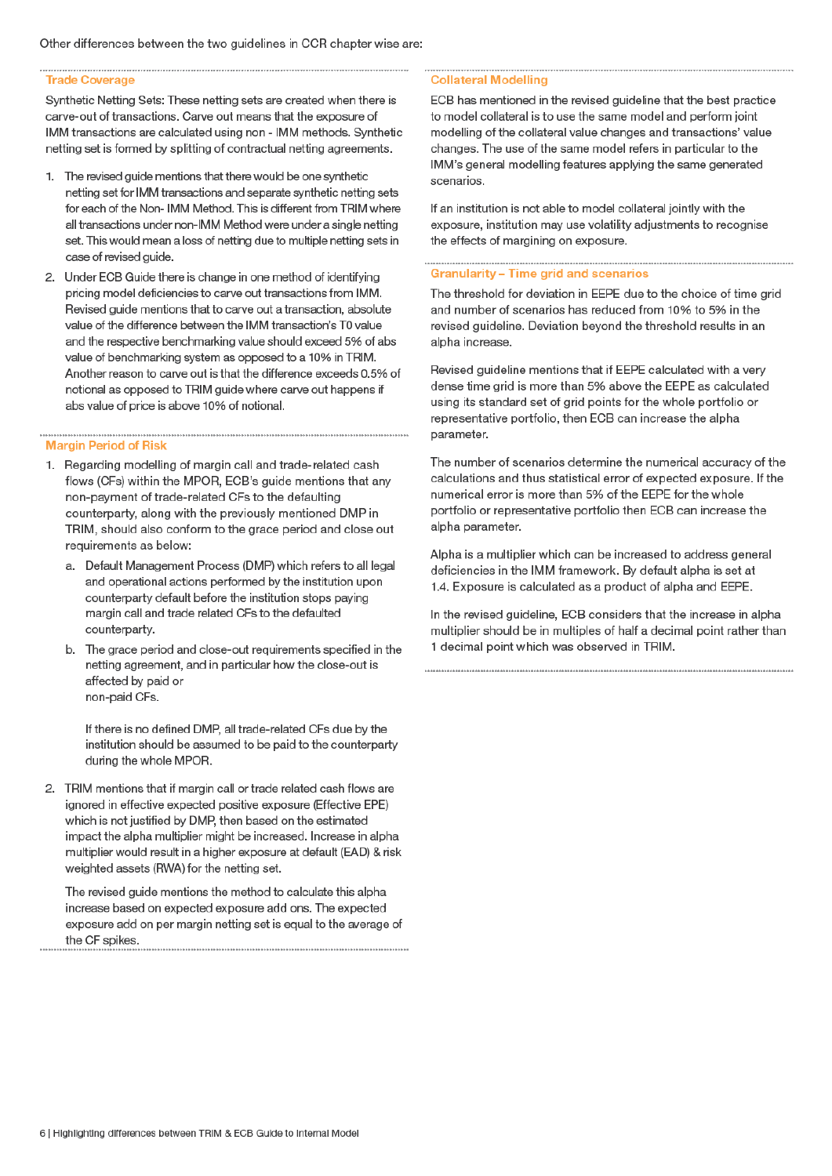#### **Trade Coverage**

Synthetic Netting Sets: These netting sets are created when there is carve-out of transactions. Carve out means that the exposure of IMM transactions are calculated using non - IMM methods. Synthetic netting set is formed by splitting of contractual netting agreements.

- 1. The revised guide mentions that there would be one synthetic netting set for IMM transactions and separate synthetic netting sets for each of the Non- IMM Method. This is different from TRIM where all transactions under non-IMM Method were under a single netting set. This would mean a loss of netting due to multiple netting sets in case of revised quide.
- 2. Under ECB Guide there is change in one method of identifying pricing model deficiencies to carve out transactions from IMM. Revised guide mentions that to carve out a transaction, absolute value of the difference between the IMM transaction's T0 value and the respective benchmarking value should exceed 5% of abs value of benchmarking system as opposed to a 10% in TRIM. Another reason to carve out is that the difference exceeds 0.5% of notional as opposed to TRIM guide where carve out happens if abs value of price is above 10% of notional.

#### **Margin Period of Risk**

- 1. Regarding modelling of margin call and trade-related cash flows (CFs) within the MPOR, ECB's guide mentions that any non-payment of trade-related CFs to the defaulting counterparty, along with the previously mentioned DMP in TRIM, should also conform to the grace period and close out requirements as below:
	- a. Default Management Process (DMP) which refers to all legal and operational actions performed by the institution upon counterparty default before the institution stops paying margin call and trade related CFs to the defaulted counterparty.
	- b. The grace period and close-out requirements specified in the netting agreement, and in particular how the close-out is affected by paid or non-paid CFs.

If there is no defined DMP, all trade-related CFs due by the institution should be assumed to be paid to the counterparty during the whole MPOR.

2. TRIM mentions that if margin call or trade related cash flows are ignored in effective expected positive exposure (Effective EPE) which is not justified by DMP, then based on the estimated impact the alpha multiplier might be increased. Increase in alpha multiplier would result in a higher exposure at default (EAD) & risk weighted assets (RWA) for the netting set.

The revised guide mentions the method to calculate this alpha increase based on expected exposure add ons. The expected exposure add on per margin netting set is equal to the average of the CF spikes.

#### **Collateral Modelling**

ECB has mentioned in the revised guideline that the best practice to model collateral is to use the same model and perform joint modelling of the collateral value changes and transactions' value changes. The use of the same model refers in particular to the IMM's general modelling features applying the same generated scenarios

If an institution is not able to model collateral jointly with the exposure, institution may use volatility adjustments to recognise the effects of margining on exposure.

#### Granularity - Time grid and scenarios

The threshold for deviation in EEPE due to the choice of time grid and number of scenarios has reduced from 10% to 5% in the revised guideline. Deviation beyond the threshold results in an alpha increase.

Revised guideline mentions that if EEPE calculated with a very dense time grid is more than 5% above the EEPE as calculated using its standard set of grid points for the whole portfolio or representative portfolio, then ECB can increase the alpha parameter.

The number of scenarios determine the numerical accuracy of the calculations and thus statistical error of expected exposure. If the numerical error is more than 5% of the EEPE for the whole portfolio or representative portfolio then ECB can increase the alpha parameter.

Alpha is a multiplier which can be increased to address general deficiencies in the IMM framework. By default alpha is set at 1.4. Exposure is calculated as a product of alpha and EEPE.

In the revised guideline, ECB considers that the increase in alpha multiplier should be in multiples of half a decimal point rather than 1 decimal point which was observed in TRIM.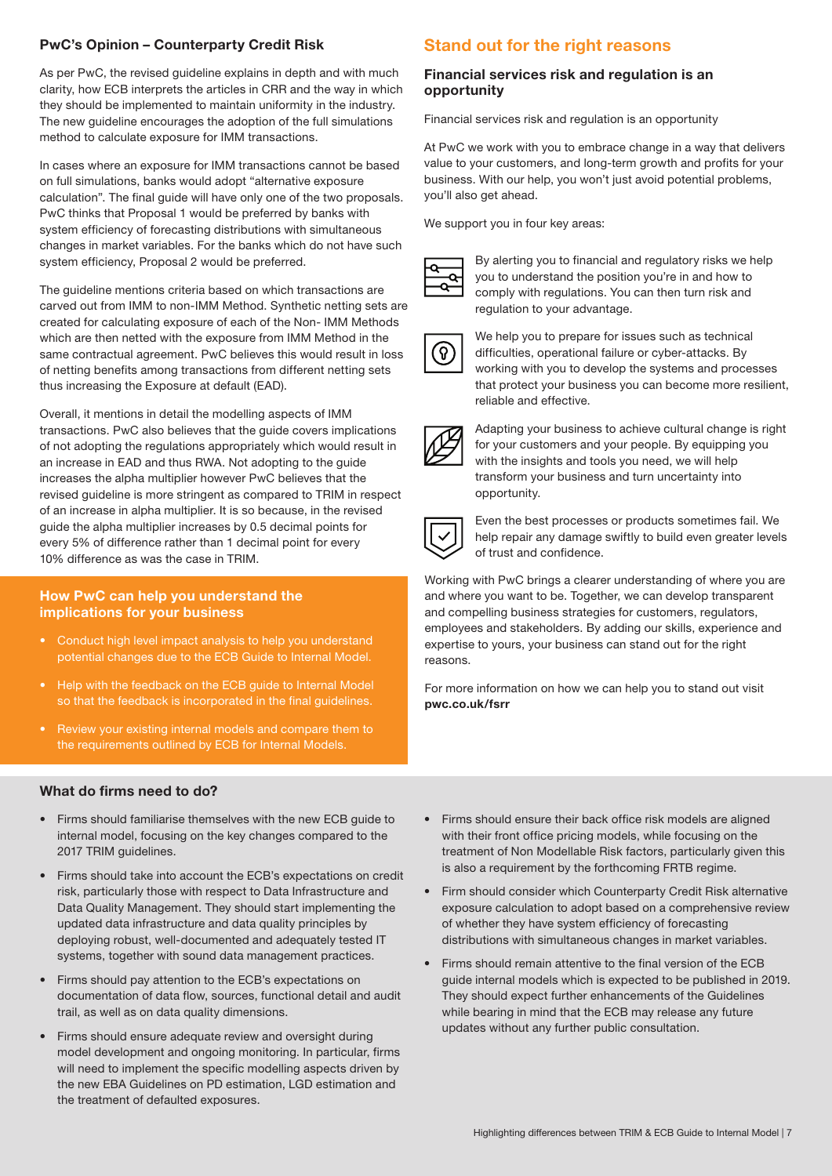# PwC's Opinion – Counterparty Credit Risk

As per PwC, the revised guideline explains in depth and with much clarity, how ECB interprets the articles in CRR and the way in which they should be implemented to maintain uniformity in the industry. The new guideline encourages the adoption of the full simulations method to calculate exposure for IMM transactions.

In cases where an exposure for IMM transactions cannot be based on full simulations, banks would adopt "alternative exposure calculation". The final guide will have only one of the two proposals. PwC thinks that Proposal 1 would be preferred by banks with system efficiency of forecasting distributions with simultaneous changes in market variables. For the banks which do not have such system efficiency, Proposal 2 would be preferred.

The guideline mentions criteria based on which transactions are carved out from IMM to non-IMM Method. Synthetic netting sets are created for calculating exposure of each of the Non- IMM Methods which are then netted with the exposure from IMM Method in the same contractual agreement. PwC believes this would result in loss of netting benefits among transactions from different netting sets thus increasing the Exposure at default (EAD).

Overall, it mentions in detail the modelling aspects of IMM transactions. PwC also believes that the guide covers implications of not adopting the regulations appropriately which would result in an increase in EAD and thus RWA. Not adopting to the guide increases the alpha multiplier however PwC believes that the revised guideline is more stringent as compared to TRIM in respect of an increase in alpha multiplier. It is so because, in the revised guide the alpha multiplier increases by 0.5 decimal points for every 5% of difference rather than 1 decimal point for every 10% difference as was the case in TRIM.

## How PwC can help you understand the implications for your business

- Conduct high level impact analysis to help you understand potential changes due to the ECB Guide to Internal Model.
- Help with the feedback on the ECB guide to Internal Model so that the feedback is incorporated in the final guidelines.
- Review your existing internal models and compare them to the requirements outlined by ECB for Internal Models.

# What do firms need to do?

- Firms should familiarise themselves with the new ECB guide to internal model, focusing on the key changes compared to the 2017 TRIM guidelines.
- Firms should take into account the ECB's expectations on credit risk, particularly those with respect to Data Infrastructure and Data Quality Management. They should start implementing the updated data infrastructure and data quality principles by deploying robust, well-documented and adequately tested IT systems, together with sound data management practices.
- Firms should pay attention to the ECB's expectations on documentation of data flow, sources, functional detail and audit trail, as well as on data quality dimensions.
- Firms should ensure adequate review and oversight during model development and ongoing monitoring. In particular, firms will need to implement the specific modelling aspects driven by the new EBA Guidelines on PD estimation, LGD estimation and the treatment of defaulted exposures.

# Stand out for the right reasons

# Financial services risk and regulation is an opportunity

Financial services risk and regulation is an opportunity

At PwC we work with you to embrace change in a way that delivers value to your customers, and long-term growth and profits for your business. With our help, you won't just avoid potential problems, you'll also get ahead.

We support you in four key areas:



By alerting you to financial and regulatory risks we help you to understand the position you're in and how to comply with regulations. You can then turn risk and regulation to your advantage.



We help you to prepare for issues such as technical difficulties, operational failure or cyber-attacks. By working with you to develop the systems and processes that protect your business you can become more resilient, reliable and effective.



Adapting your business to achieve cultural change is right for your customers and your people. By equipping you with the insights and tools you need, we will help transform your business and turn uncertainty into opportunity.



Even the best processes or products sometimes fail. We help repair any damage swiftly to build even greater levels of trust and confidence.

Working with PwC brings a clearer understanding of where you are and where you want to be. Together, we can develop transparent and compelling business strategies for customers, regulators, employees and stakeholders. By adding our skills, experience and expertise to yours, your business can stand out for the right reasons.

For more information on how we can help you to stand out visit pwc.co.uk/fsrr

- Firms should ensure their back office risk models are aligned with their front office pricing models, while focusing on the treatment of Non Modellable Risk factors, particularly given this is also a requirement by the forthcoming FRTB regime.
- Firm should consider which Counterparty Credit Risk alternative exposure calculation to adopt based on a comprehensive review of whether they have system efficiency of forecasting distributions with simultaneous changes in market variables.
- Firms should remain attentive to the final version of the ECB guide internal models which is expected to be published in 2019. They should expect further enhancements of the Guidelines while bearing in mind that the ECB may release any future updates without any further public consultation.